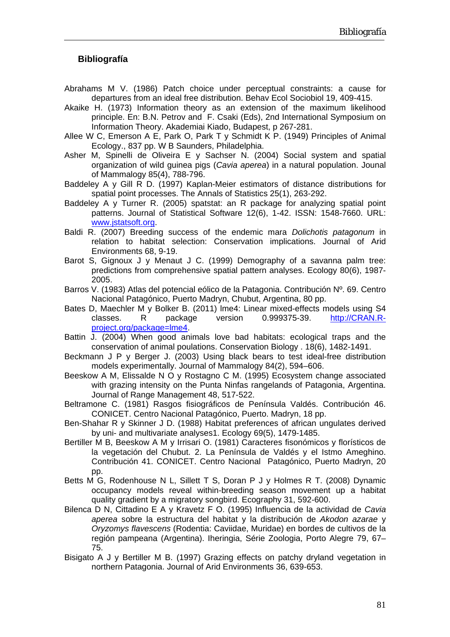## **Bibliografía**

- Abrahams M V. (1986) Patch choice under perceptual constraints: a cause for departures from an ideal free distribution. Behav Ecol Sociobiol 19, 409-415.
- Akaike H. (1973) Information theory as an extension of the maximum likelihood principle. En: B.N. Petrov and F. Csaki (Eds), 2nd International Symposium on Information Theory. Akademiai Kiado, Budapest, p 267-281.
- Allee W C, Emerson A E, Park O, Park T y Schmidt K P. (1949) Principles of Animal Ecology., 837 pp. W B Saunders, Philadelphia.
- Asher M, Spinelli de Oliveira E y Sachser N. (2004) Social system and spatial organization of wild guinea pigs (*Cavia aperea*) in a natural population. Jounal of Mammalogy 85(4), 788-796.
- Baddeley A y Gill R D. (1997) Kaplan-Meier estimators of distance distributions for spatial point processes. The Annals of Statistics 25(1), 263-292.
- Baddeley A y Turner R. (2005) spatstat: an R package for analyzing spatial point patterns. Journal of Statistical Software 12(6), 1-42. ISSN: 1548-7660. URL: [www.jstatsoft.org.](http://www.jstatsoft.org/)
- Baldi R. (2007) Breeding success of the endemic mara *Dolichotis patagonum* in relation to habitat selection: Conservation implications. Journal of Arid Environments 68, 9-19.
- Barot S, Gignoux J y Menaut J C. (1999) Demography of a savanna palm tree: predictions from comprehensive spatial pattern analyses. Ecology 80(6), 1987- 2005.
- Barros V. (1983) Atlas del potencial eólico de la Patagonia. Contribución Nº. 69. Centro Nacional Patagónico, Puerto Madryn, Chubut, Argentina, 80 pp.
- Bates D, Maechler M y Bolker B. (2011) lme4: Linear mixed-effects models using S4 classes. R package version 0.999375-39. [http://CRAN.R](http://cran.r-project.org/package=lme4)[project.org/package=lme4.](http://cran.r-project.org/package=lme4)
- Battin J. (2004) When good animals love bad habitats: ecological traps and the conservation of animal poulations. Conservation Biology . 18(6), 1482-1491.
- Beckmann J P y Berger J. (2003) Using black bears to test ideal-free distribution models experimentally. Journal of Mammalogy 84(2), 594–606.
- Beeskow A M, Elissalde N O y Rostagno C M. (1995) Ecosystem change associated with grazing intensity on the Punta Ninfas rangelands of Patagonia, Argentina. Journal of Range Management 48, 517-522.
- Beltramone C. (1981) Rasgos fisiográficos de Península Valdés. Contribución 46. CONICET. Centro Nacional Patagónico, Puerto. Madryn, 18 pp.
- Ben-Shahar R y Skinner J D. (1988) Habitat preferences of african ungulates derived by uni- and multivariate analyses1. Ecology 69(5), 1479-1485.
- Bertiller M B, Beeskow A M y Irrisari O. (1981) Caracteres fisonómicos y florísticos de la vegetación del Chubut. 2. La Península de Valdés y el Istmo Ameghino. Contribución 41. CONICET. Centro Nacional Patagónico, Puerto Madryn, 20 pp.
- Betts M G, Rodenhouse N L, Sillett T S, Doran P J y Holmes R T. (2008) Dynamic occupancy models reveal within-breeding season movement up a habitat quality gradient by a migratory songbird. Ecography 31, 592-600.
- Bilenca D N, Cittadino E A y Kravetz F O. (1995) Influencia de la actividad de *Cavia aperea* sobre la estructura del habitat y la distribución de *Akodon azarae* y *Oryzomys flavescens* (Rodentia: Caviidae, Muridae) en bordes de cultivos de la región pampeana (Argentina). Iheringia, Série Zoologia, Porto Alegre 79, 67– 75.
- Bisigato A J y Bertiller M B. (1997) Grazing effects on patchy dryland vegetation in northern Patagonia. Journal of Arid Environments 36, 639-653.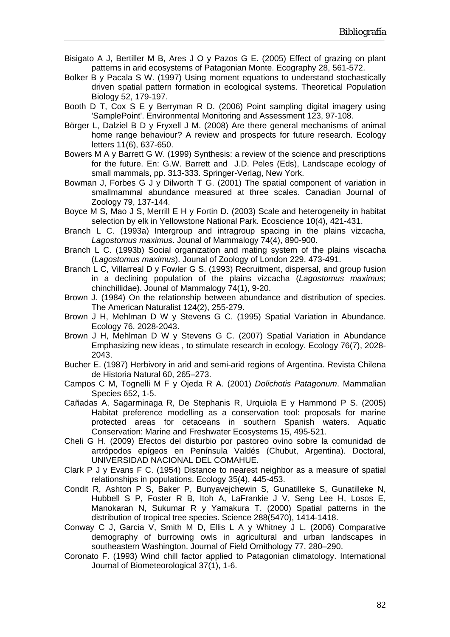- Bisigato A J, Bertiller M B, Ares J O y Pazos G E. (2005) Effect of grazing on plant patterns in arid ecosystems of Patagonian Monte. Ecography 28, 561-572.
- Bolker B y Pacala S W. (1997) Using moment equations to understand stochastically driven spatial pattern formation in ecological systems. Theoretical Population Biology 52, 179-197.
- Booth D T, Cox S E y Berryman R D. (2006) Point sampling digital imagery using 'SamplePoint'. Environmental Monitoring and Assessment 123, 97-108.
- Börger L, Dalziel B D y Fryxell J M. (2008) Are there general mechanisms of animal home range behaviour? A review and prospects for future research. Ecology letters 11(6), 637-650.
- Bowers M A y Barrett G W. (1999) Synthesis: a review of the science and prescriptions for the future. En: G.W. Barrett and J.D. Peles (Eds), Landscape ecology of small mammals, pp. 313-333. Springer-Verlag, New York.
- Bowman J, Forbes G J y Dilworth T G. (2001) The spatial component of variation in smallmammal abundance measured at three scales. Canadian Journal of Zoology 79, 137-144.
- Boyce M S, Mao J S, Merrill E H y Fortin D. (2003) Scale and heterogeneity in habitat selection by elk in Yellowstone National Park. Ecoscience 10(4), 421-431.
- Branch L C. (1993a) Intergroup and intragroup spacing in the plains vizcacha, *Lagostomus maximus*. Jounal of Mammalogy 74(4), 890-900.
- Branch L C. (1993b) Social organization and mating system of the plains viscacha (*Lagostomus maximus*). Jounal of Zoology of London 229, 473-491.
- Branch L C, Villarreal D y Fowler G S. (1993) Recruitment, dispersal, and group fusion in a declining population of the plains vizcacha (*Lagostomus maximus*; chinchillidae). Jounal of Mammalogy 74(1), 9-20.
- Brown J. (1984) On the relationship between abundance and distribution of species. The American Naturalist 124(2), 255-279.
- Brown J H, Mehlman D W y Stevens G C. (1995) Spatial Variation in Abundance. Ecology 76, 2028-2043.
- Brown J H, Mehlman D W y Stevens G C. (2007) Spatial Variation in Abundance Emphasizing new ideas , to stimulate research in ecology. Ecology 76(7), 2028- 2043.
- Bucher E. (1987) Herbivory in arid and semi-arid regions of Argentina. Revista Chilena de Historia Natural 60, 265–273.
- Campos C M, Tognelli M F y Ojeda R A. (2001) *Dolichotis Patagonum*. Mammalian Species 652, 1-5.
- Cañadas A, Sagarminaga R, De Stephanis R, Urquiola E y Hammond P S. (2005) Habitat preference modelling as a conservation tool: proposals for marine protected areas for cetaceans in southern Spanish waters. Aquatic Conservation: Marine and Freshwater Ecosystems 15, 495-521.
- Cheli G H. (2009) Efectos del disturbio por pastoreo ovino sobre la comunidad de artrópodos epígeos en Península Valdés (Chubut, Argentina). Doctoral, UNIVERSIDAD NACIONAL DEL COMAHUE.
- Clark P J y Evans F C. (1954) Distance to nearest neighbor as a measure of spatial relationships in populations. Ecology 35(4), 445-453.
- Condit R, Ashton P S, Baker P, Bunyavejchewin S, Gunatilleke S, Gunatilleke N, Hubbell S P, Foster R B, Itoh A, LaFrankie J V, Seng Lee H, Losos E, Manokaran N, Sukumar R y Yamakura T. (2000) Spatial patterns in the distribution of tropical tree species. Science 288(5470), 1414-1418.
- Conway C J, Garcia V, Smith M D, Ellis L A y Whitney J L. (2006) Comparative demography of burrowing owls in agricultural and urban landscapes in southeastern Washington. Journal of Field Ornithology 77, 280–290.
- Coronato F. (1993) Wind chill factor applied to Patagonian climatology. International Journal of Biometeorological 37(1), 1-6.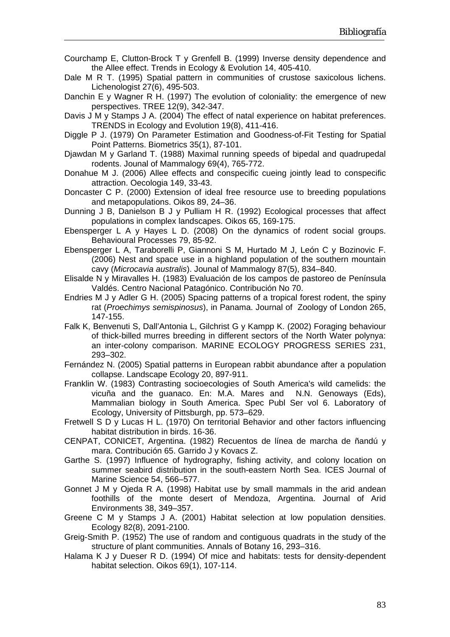- Courchamp E, Clutton-Brock T y Grenfell B. (1999) Inverse density dependence and the Allee effect. Trends in Ecology & Evolution 14, 405-410.
- Dale M R T. (1995) Spatial pattern in communities of crustose saxicolous lichens. Lichenologist 27(6), 495-503.
- Danchin E y Wagner R H. (1997) The evolution of coloniality: the emergence of new perspectives. TREE 12(9), 342-347.
- Davis J M y Stamps J A. (2004) The effect of natal experience on habitat preferences. TRENDS in Ecology and Evolution 19(8), 411-416.
- Diggle P J. (1979) On Parameter Estimation and Goodness-of-Fit Testing for Spatial Point Patterns. Biometrics 35(1), 87-101.
- Djawdan M y Garland T. (1988) Maximal running speeds of bipedal and quadrupedal rodents. Jounal of Mammalogy 69(4), 765-772.
- Donahue M J. (2006) Allee effects and conspecific cueing jointly lead to conspecific attraction. Oecologia 149, 33-43.
- Doncaster C P. (2000) Extension of ideal free resource use to breeding populations and metapopulations. Oikos 89, 24–36.
- Dunning J B, Danielson B J y Pulliam H R. (1992) Ecological processes that affect populations in complex landscapes. Oikos 65, 169-175.
- Ebensperger L A y Hayes L D. (2008) On the dynamics of rodent social groups. Behavioural Processes 79, 85-92.
- Ebensperger L A, Taraborelli P, Giannoni S M, Hurtado M J, León C y Bozinovic F. (2006) Nest and space use in a highland population of the southern mountain cavy (*Microcavia australis*). Jounal of Mammalogy 87(5), 834–840.
- Elisalde N y Miravalles H. (1983) Evaluación de los campos de pastoreo de Península Valdés. Centro Nacional Patagónico. Contribución No 70.
- Endries M J y Adler G H. (2005) Spacing patterns of a tropical forest rodent, the spiny rat (*Proechimys semispinosus*), in Panama. Journal of Zoology of London 265, 147-155.
- Falk K, Benvenuti S, Dall'Antonia L, Gilchrist G y Kampp K. (2002) Foraging behaviour of thick-billed murres breeding in different sectors of the North Water polynya: an inter-colony comparison. MARINE ECOLOGY PROGRESS SERIES 231, 293–302.
- Fernández N. (2005) Spatial patterns in European rabbit abundance after a population collapse. Landscape Ecology 20, 897-911.
- Franklin W. (1983) Contrasting socioecologies of South America's wild camelids: the vicuña and the guanaco. En: M.A. Mares and N.N. Genoways (Eds), Mammalian biology in South America. Spec Publ Ser vol 6. Laboratory of Ecology, University of Pittsburgh, pp. 573–629.
- Fretwell S D y Lucas H L. (1970) On territorial Behavior and other factors influencing habitat distribution in birds. 16-36.
- CENPAT, CONICET, Argentina. (1982) Recuentos de línea de marcha de ñandú y mara. Contribución 65. Garrido J y Kovacs Z.
- Garthe S. (1997) Influence of hydrography, fishing activity, and colony location on summer seabird distribution in the south-eastern North Sea. ICES Journal of Marine Science 54, 566–577.
- Gonnet J M y Ojeda R A. (1998) Habitat use by small mammals in the arid andean foothills of the monte desert of Mendoza, Argentina. Journal of Arid Environments 38, 349–357.
- Greene C M y Stamps J A. (2001) Habitat selection at low population densities. Ecology 82(8), 2091-2100.
- Greig-Smith P. (1952) The use of random and contiguous quadrats in the study of the structure of plant communities. Annals of Botany 16, 293–316.
- Halama K J y Dueser R D. (1994) Of mice and habitats: tests for density-dependent habitat selection. Oikos 69(1), 107-114.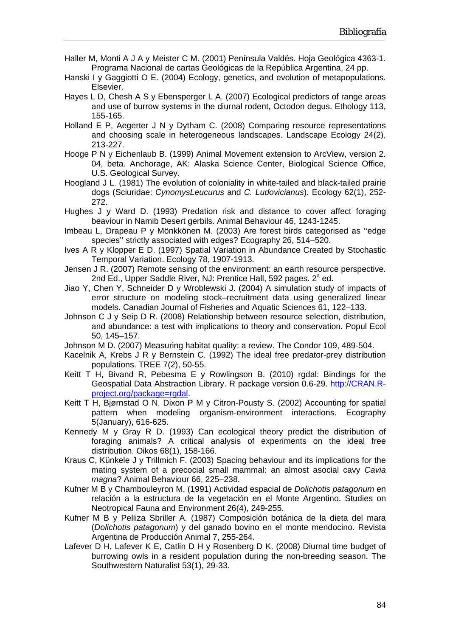- Haller M, Monti A J A y Meister C M. (2001) Península Valdés. Hoja Geológica 4363-1. Programa Nacional de cartas Geológicas de la República Argentina, 24 pp.
- Hanski I y Gaggiotti O E. (2004) Ecology, genetics, and evolution of metapopulations. Elsevier.
- Hayes L D, Chesh A S y Ebensperger L A. (2007) Ecological predictors of range areas and use of burrow systems in the diurnal rodent, Octodon degus. Ethology 113, 155-165.
- Holland E P, Aegerter J N y Dytham C. (2008) Comparing resource representations and choosing scale in heterogeneous landscapes. Landscape Ecology 24(2), 213-227.
- Hooge P N y Eichenlaub B. (1999) Animal Movement extension to ArcView, version 2. 04, beta. Anchorage, AK: Alaska Science Center, Biological Science Office, U.S. Geological Survey.
- Hoogland J L. (1981) The evolution of coloniality in white-tailed and black-tailed prairie dogs (Sciuridae: *CynomysLeucurus* and *C. Ludovicianus*). Ecology 62(1), 252- 272.
- Hughes J y Ward D. (1993) Predation risk and distance to cover affect foraging beaviour in Namib Desert gerbils. Animal Behaviour 46, 1243-1245.
- Imbeau L, Drapeau P y Mönkkönen M. (2003) Are forest birds categorised as ''edge species'' strictly associated with edges? Ecography 26, 514–520.
- Ives A R y Klopper E D. (1997) Spatial Variation in Abundance Created by Stochastic Temporal Variation. Ecology 78, 1907-1913.
- Jensen J R. (2007) Remote sensing of the environment: an earth resource perspective. 2nd Ed., Upper Saddle River, NJ: Prentice Hall, 592 pages. 2<sup>a</sup> ed.
- Jiao Y, Chen Y, Schneider D y Wroblewski J. (2004) A simulation study of impacts of error structure on modeling stock–recruitment data using generalized linear models. Canadian Journal of Fisheries and Aquatic Sciences 61, 122–133.
- Johnson C J y Seip D R. (2008) Relationship between resource selection, distribution, and abundance: a test with implications to theory and conservation. Popul Ecol 50, 145–157.
- Johnson M D. (2007) Measuring habitat quality: a review. The Condor 109, 489-504.
- Kacelnik A, Krebs J R y Bernstein C. (1992) The ideal free predator-prey distribution populations. TREE 7(2), 50-55.
- Keitt T H, Bivand R, Pebesma E y Rowlingson B. (2010) rgdal: Bindings for the Geospatial Data Abstraction Library. R package version 0.6-29. [http://CRAN.R](http://cran.r-project.org/package=rgdal)[project.org/package=rgdal.](http://cran.r-project.org/package=rgdal)
- Keitt T H, Bjørnstad O N, Dixon P M y Citron-Pousty S. (2002) Accounting for spatial pattern when modeling organism-environment interactions. Ecography 5(January), 616-625.
- Kennedy M y Gray R D. (1993) Can ecological theory predict the distribution of foraging animals? A critical analysis of experiments on the ideal free distribution. Oikos 68(1), 158-166.
- Kraus C, Künkele J y Trillmich F. (2003) Spacing behaviour and its implications for the mating system of a precocial small mammal: an almost asocial cavy *Cavia magna*? Animal Behaviour 66, 225–238.
- Kufner M B y Chambouleyron M. (1991) Actividad espacial de *Dolichotis patagonum* en relación a la estructura de la vegetación en el Monte Argentino. Studies on Neotropical Fauna and Environment 26(4), 249-255.
- Kufner M B y Pelliza Sbriller A. (1987) Composición botánica de la dieta del mara (*Dolichotis patagonum*) y del ganado bovino en el monte mendocino. Revista Argentina de Producción Animal 7, 255-264.
- Lafever D H, Lafever K E, Catlin D H y Rosenberg D K. (2008) Diurnal time budget of burrowing owls in a resident population during the non-breeding season. The Southwestern Naturalist 53(1), 29-33.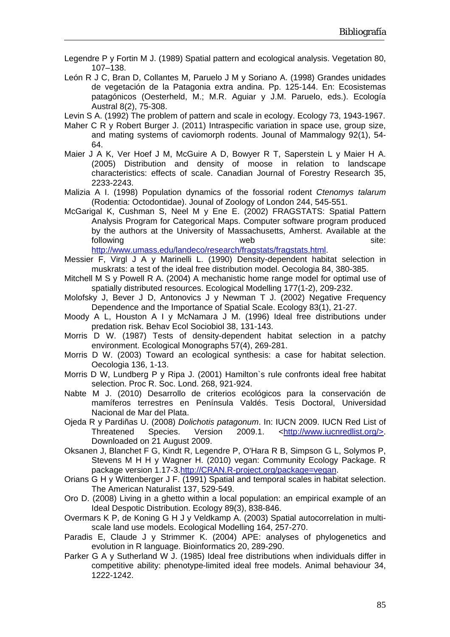- Legendre P y Fortin M J. (1989) Spatial pattern and ecological analysis. Vegetation 80, 107–138.
- León R J C, Bran D, Collantes M, Paruelo J M y Soriano A. (1998) Grandes unidades de vegetación de la Patagonia extra andina. Pp. 125-144. En: Ecosistemas patagónicos (Oesterheld, M.; M.R. Aguiar y J.M. Paruelo, eds.). Ecología Austral 8(2), 75-308.
- Levin S A. (1992) The problem of pattern and scale in ecology. Ecology 73, 1943-1967.
- Maher C R y Robert Burger J. (2011) Intraspecific variation in space use, group size, and mating systems of caviomorph rodents. Jounal of Mammalogy 92(1), 54- 64.
- Maier J A K, Ver Hoef J M, McGuire A D, Bowyer R T, Saperstein L y Maier H A. (2005) Distribution and density of moose in relation to landscape characteristics: effects of scale. Canadian Journal of Forestry Research 35, 2233-2243.
- Malizia A I. (1998) Population dynamics of the fossorial rodent *Ctenomys talarum* (Rodentia: Octodontidae). Jounal of Zoology of London 244, 545-551.
- McGarigal K, Cushman S, Neel M y Ene E. (2002) FRAGSTATS: Spatial Pattern Analysis Program for Categorical Maps. Computer software program produced by the authors at the University of Massachusetts, Amherst. Available at the following site: web site:

<http://www.umass.edu/landeco/research/fragstats/fragstats.html>.

- Messier F, Virgl J A y Marinelli L. (1990) Density-dependent habitat selection in muskrats: a test of the ideal free distribution model. Oecologia 84, 380-385.
- Mitchell M S y Powell R A. (2004) A mechanistic home range model for optimal use of spatially distributed resources. Ecological Modelling 177(1-2), 209-232.
- Molofsky J, Bever J D, Antonovics J y Newman T J. (2002) Negative Frequency Dependence and the Importance of Spatial Scale. Ecology 83(1), 21-27.
- Moody A L, Houston A I y McNamara J M. (1996) Ideal free distributions under predation risk. Behav Ecol Sociobiol 38, 131-143.
- Morris D W. (1987) Tests of density-dependent habitat selection in a patchy environment. Ecological Monographs 57(4), 269-281.
- Morris D W. (2003) Toward an ecological synthesis: a case for habitat selection. Oecologia 136, 1-13.
- Morris D W, Lundberg P y Ripa J. (2001) Hamilton`s rule confronts ideal free habitat selection. Proc R. Soc. Lond. 268, 921-924.
- Nabte M J. (2010) Desarrollo de criterios ecológicos para la conservación de mamíferos terrestres en Península Valdés. Tesis Doctoral, Universidad Nacional de Mar del Plata.
- Ojeda R y Pardiñas U. (2008) *Dolichotis patagonum*. In: IUCN 2009. IUCN Red List of Threatened Species. Version 2009.1. <<http://www.iucnredlist.org/>>. Downloaded on 21 August 2009.
- Oksanen J, Blanchet F G, Kindt R, Legendre P, O'Hara R B, Simpson G L, Solymos P, Stevens M H H y Wagner H. (2010) vegan: Community Ecology Package. R package version 1.17-3[.http://CRAN.R-project.org/package=vegan.](http://cran.r-project.org/package=vegan)
- Orians G H y Wittenberger J F. (1991) Spatial and temporal scales in habitat selection. The American Naturalist 137, 529-549.
- Oro D. (2008) Living in a ghetto within a local population: an empirical example of an Ideal Despotic Distribution. Ecology 89(3), 838-846.
- Overmars K P, de Koning G H J y Veldkamp A. (2003) Spatial autocorrelation in multiscale land use models. Ecological Modelling 164, 257-270.
- Paradis E, Claude J y Strimmer K. (2004) APE: analyses of phylogenetics and evolution in R language. Bioinformatics 20, 289-290.
- Parker G A y Sutherland W J. (1985) Ideal free distributions when individuals differ in competitive ability: phenotype-limited ideal free models. Animal behaviour 34, 1222-1242.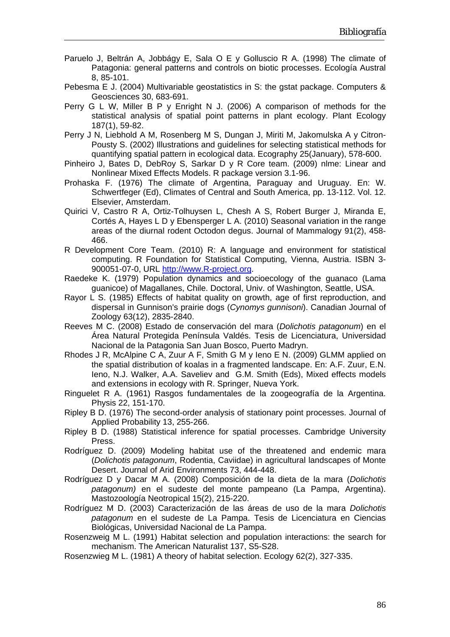- Paruelo J, Beltrán A, Jobbágy E, Sala O E y Golluscio R A. (1998) The climate of Patagonia: general patterns and controls on biotic processes. Ecología Austral 8, 85-101.
- Pebesma E J. (2004) Multivariable geostatistics in S: the gstat package. Computers & Geosciences 30, 683-691.
- Perry G L W, Miller B P y Enright N J. (2006) A comparison of methods for the statistical analysis of spatial point patterns in plant ecology. Plant Ecology 187(1), 59-82.
- Perry J N, Liebhold A M, Rosenberg M S, Dungan J, Miriti M, Jakomulska A y Citron-Pousty S. (2002) Illustrations and guidelines for selecting statistical methods for quantifying spatial pattern in ecological data. Ecography 25(January), 578-600.
- Pinheiro J, Bates D, DebRoy S, Sarkar D y R Core team. (2009) nlme: Linear and Nonlinear Mixed Effects Models. R package version 3.1-96.
- Prohaska F. (1976) The climate of Argentina, Paraguay and Uruguay. En: W. Schwertfeger (Ed), Climates of Central and South America, pp. 13-112. Vol. 12. Elsevier, Amsterdam.
- Quirici V, Castro R A, Ortiz-Tolhuysen L, Chesh A S, Robert Burger J, Miranda E, Cortés A, Hayes L D y Ebensperger L A. (2010) Seasonal variation in the range areas of the diurnal rodent Octodon degus. Journal of Mammalogy 91(2), 458- 466.
- R Development Core Team. (2010) R: A language and environment for statistical computing. R Foundation for Statistical Computing, Vienna, Austria. ISBN 3- 900051-07-0, URL [http://www.R-project.org.](http://www.r-project.org/)
- Raedeke K. (1979) Population dynamics and socioecology of the guanaco (Lama guanicoe) of Magallanes, Chile. Doctoral, Univ. of Washington, Seattle, USA.
- Rayor L S. (1985) Effects of habitat quality on growth, age of first reproduction, and dispersal in Gunnison's prairie dogs (*Cynomys gunnisoni*). Canadian Journal of Zoology 63(12), 2835-2840.
- Reeves M C. (2008) Estado de conservación del mara (*Dolichotis patagonum*) en el Área Natural Protegida Península Valdés. Tesis de Licenciatura, Universidad Nacional de la Patagonia San Juan Bosco, Puerto Madryn.
- Rhodes J R, McAlpine C A, Zuur A F, Smith G M y Ieno E N. (2009) GLMM applied on the spatial distribution of koalas in a fragmented landscape. En: A.F. Zuur, E.N. Ieno, N.J. Walker, A.A. Saveliev and G.M. Smith (Eds), Mixed effects models and extensions in ecology with R. Springer, Nueva York.
- Ringuelet R A. (1961) Rasgos fundamentales de la zoogeografía de la Argentina. Physis 22, 151-170.
- Ripley B D. (1976) The second-order analysis of stationary point processes. Journal of Applied Probability 13, 255-266.
- Ripley B D. (1988) Statistical inference for spatial processes. Cambridge University Press.
- Rodríguez D. (2009) Modeling habitat use of the threatened and endemic mara (*Dolichotis patagonum*, Rodentia, Caviidae) in agricultural landscapes of Monte Desert. Journal of Arid Environments 73, 444-448.
- Rodríguez D y Dacar M A. (2008) Composición de la dieta de la mara (*Dolichotis patagonum)* en el sudeste del monte pampeano (La Pampa, Argentina). Mastozoología Neotropical 15(2), 215-220.
- Rodríguez M D. (2003) Caracterización de las áreas de uso de la mara *Dolichotis patagonum* en el sudeste de La Pampa. Tesis de Licenciatura en Ciencias Biológicas, Universidad Nacional de La Pampa.
- Rosenzweig M L. (1991) Habitat selection and population interactions: the search for mechanism. The American Naturalist 137, S5-S28.
- Rosenzwieg M L. (1981) A theory of habitat selection. Ecology 62(2), 327-335.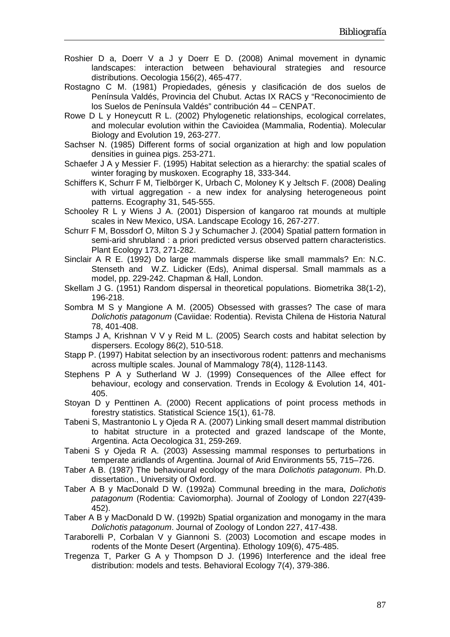- Roshier D a, Doerr V a J y Doerr E D. (2008) Animal movement in dynamic landscapes: interaction between behavioural strategies and resource distributions. Oecologia 156(2), 465-477.
- Rostagno C M. (1981) Propiedades, génesis y clasificación de dos suelos de Península Valdés, Provincia del Chubut. Actas IX RACS y "Reconocimiento de los Suelos de Península Valdés" contribución 44 – CENPAT.
- Rowe D L y Honeycutt R L. (2002) Phylogenetic relationships, ecological correlates, and molecular evolution within the Cavioidea (Mammalia, Rodentia). Molecular Biology and Evolution 19, 263-277.
- Sachser N. (1985) Different forms of social organization at high and low population densities in guinea pigs. 253-271.
- Schaefer J A y Messier F. (1995) Habitat selection as a hierarchy: the spatial scales of winter foraging by muskoxen. Ecography 18, 333-344.
- Schiffers K, Schurr F M, Tielbörger K, Urbach C, Moloney K y Jeltsch F. (2008) Dealing with virtual aggregation - a new index for analysing heterogeneous point patterns. Ecography 31, 545-555.
- Schooley R L y Wiens J A. (2001) Dispersion of kangaroo rat mounds at multiple scales in New Mexico, USA. Landscape Ecology 16, 267-277.
- Schurr F M, Bossdorf O, Milton S J y Schumacher J. (2004) Spatial pattern formation in semi-arid shrubland : a priori predicted versus observed pattern characteristics. Plant Ecology 173, 271-282.
- Sinclair A R E. (1992) Do large mammals disperse like small mammals? En: N.C. Stenseth and W.Z. Lidicker (Eds), Animal dispersal. Small mammals as a model, pp. 229-242. Chapman & Hall, London.
- Skellam J G. (1951) Random dispersal in theoretical populations. Biometrika 38(1-2), 196-218.
- Sombra M S y Mangione A M. (2005) Obsessed with grasses? The case of mara *Dolichotis patagonum* (Caviidae: Rodentia). Revista Chilena de Historia Natural 78, 401-408.
- Stamps J A, Krishnan V V y Reid M L. (2005) Search costs and habitat selection by dispersers. Ecology 86(2), 510-518.
- Stapp P. (1997) Habitat selection by an insectivorous rodent: pattenrs and mechanisms across multiple scales. Jounal of Mammalogy 78(4), 1128-1143.
- Stephens P A y Sutherland W J. (1999) Consequences of the Allee effect for behaviour, ecology and conservation. Trends in Ecology & Evolution 14, 401- 405.
- Stoyan D y Penttinen A. (2000) Recent applications of point process methods in forestry statistics. Statistical Science 15(1), 61-78.
- Tabeni S, Mastrantonio L y Ojeda R A. (2007) Linking small desert mammal distribution to habitat structure in a protected and grazed landscape of the Monte, Argentina. Acta Oecologica 31, 259-269.
- Tabeni S y Ojeda R A. (2003) Assessing mammal responses to perturbations in temperate aridlands of Argentina. Journal of Arid Environments 55, 715–726.
- Taber A B. (1987) The behavioural ecology of the mara *Dolichotis patagonum*. Ph.D. dissertation., University of Oxford.
- Taber A B y MacDonald D W. (1992a) Communal breeding in the mara, *Dolichotis patagonum* (Rodentia: Caviomorpha). Journal of Zoology of London 227(439- 452).
- Taber A B y MacDonald D W. (1992b) Spatial organization and monogamy in the mara *Dolichotis patagonum*. Journal of Zoology of London 227, 417-438.
- Taraborelli P, Corbalan V y Giannoni S. (2003) Locomotion and escape modes in rodents of the Monte Desert (Argentina). Ethology 109(6), 475-485.
- Tregenza T, Parker G A y Thompson D J. (1996) Interference and the ideal free distribution: models and tests. Behavioral Ecology 7(4), 379-386.